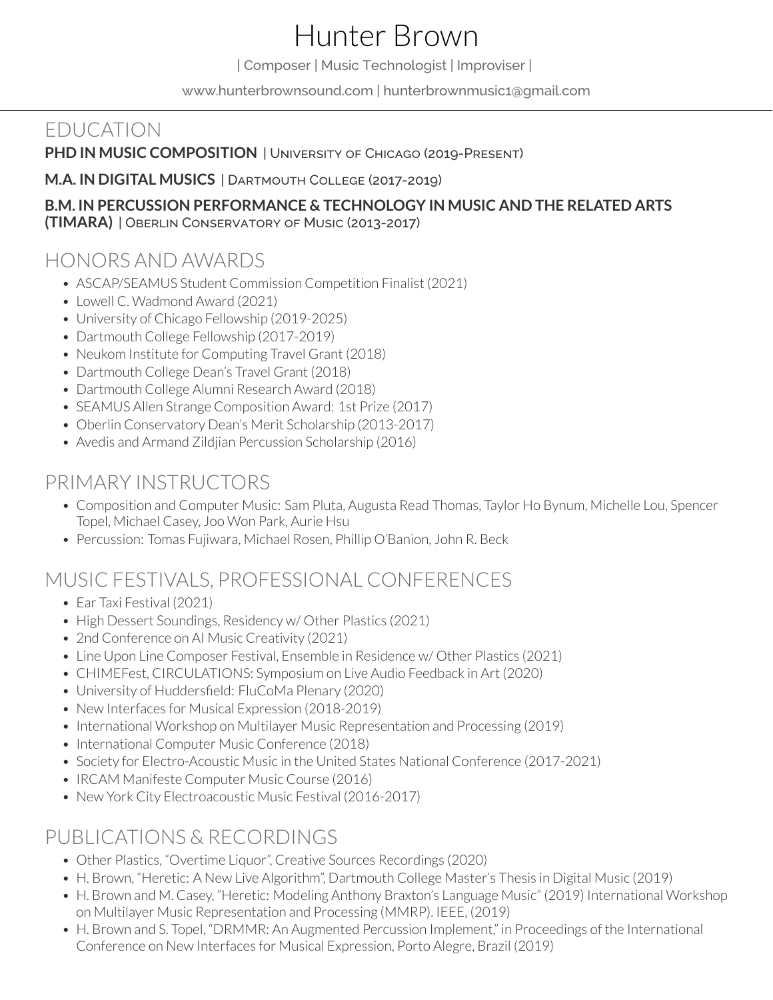# Hunter Brown

| Composer | Music Technologist | Improviser |

[www.hunterbrownsound.com](https://www.hunterbrownsound.com/) [| hunterbrownmusic1@gmail.com](mailto:hunterbrownmusic1@gmail.com)

## EDUCATION

**PHD IN MUSIC COMPOSITION** | University of Chicago (2019-Present)

**M.A. IN DIGITAL MUSICS** | Dartmouth College (2017-2019)

#### **B.M. IN PERCUSSION PERFORMANCE & TECHNOLOGY IN MUSIC AND THE RELATED ARTS (TIMARA)** | Oberlin Conservatory of Music (2013-2017)

## HONORS AND AWARDS

- ASCAP/SEAMUS Student Commission Competition Finalist (2021)
- Lowell C. Wadmond Award (2021)
- University of Chicago Fellowship (2019-2025)
- Dartmouth College Fellowship (2017-2019)
- Neukom Institute for Computing Travel Grant (2018)
- Dartmouth College Dean's Travel Grant (2018)
- Dartmouth College Alumni Research Award (2018)
- SEAMUS Allen Strange Composition Award: 1st Prize (2017)
- Oberlin Conservatory Dean's Merit Scholarship (2013-2017)
- Avedis and Armand Zildjian Percussion Scholarship (2016)

## PRIMARY INSTRUCTORS

- Composition and Computer Music: Sam Pluta, Augusta Read Thomas, Taylor Ho Bynum, Michelle Lou, Spencer Topel, Michael Casey, Joo Won Park, Aurie Hsu
- Percussion: Tomas Fujiwara, Michael Rosen, Phillip O'Banion, John R. Beck

# MUSIC FESTIVALS, PROFESSIONAL CONFERENCES

- Ear Taxi Festival (2021)
- High Dessert Soundings, Residency w/ Other Plastics (2021)
- 2nd Conference on AI Music Creativity (2021)
- Line Upon Line Composer Festival, Ensemble in Residence w/ Other Plastics (2021)
- CHIMEFest, CIRCULATIONS: Symposium on Live Audio Feedback in Art (2020)
- University of Huddersfield: FluCoMa Plenary (2020)
- New Interfaces for Musical Expression (2018-2019)
- International Workshop on Multilayer Music Representation and Processing (2019)
- International Computer Music Conference (2018)
- Society for Electro-Acoustic Music in the United States National Conference (2017-2021)
- IRCAM Manifeste Computer Music Course (2016)
- New York City Electroacoustic Music Festival (2016-2017)

## PUBLICATIONS & RECORDINGS

- Other Plastics, "Overtime Liquor", Creative Sources Recordings (2020)
- H. Brown, "Heretic: A New Live Algorithm", Dartmouth College Master's Thesis in Digital Music (2019)
- H. Brown and M. Casey, "Heretic: Modeling Anthony Braxton's Language Music" (2019) International Workshop on Multilayer Music Representation and Processing (MMRP). IEEE, (2019)
- H. Brown and S. Topel, "DRMMR: An Augmented Percussion Implement," in Proceedings of the International Conference on New Interfaces for Musical Expression, Porto Alegre, Brazil (2019)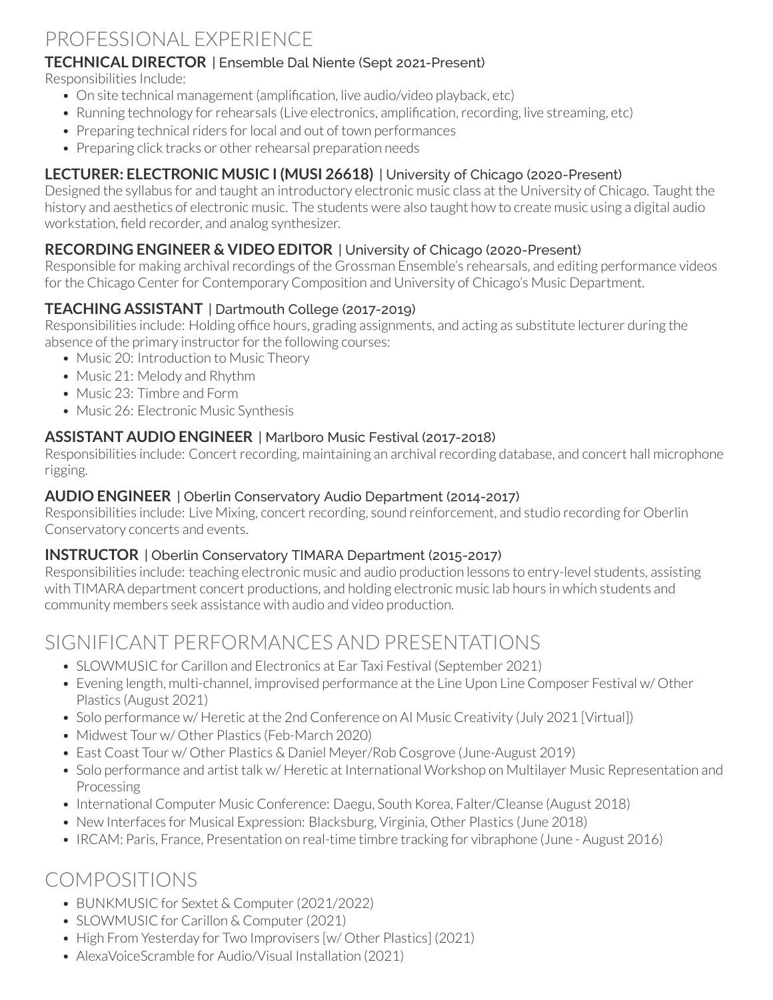# PROFESSIONAL EXPERIENCE

#### **TECHNICAL DIRECTOR** | [Ensemble Dal Niente \(Sept 2021-Present\)](https://www.dalniente.com/)

Responsibilities Include:

- On site technical management (amplification, live audio/video playback, etc)
- Running technology for rehearsals (Live electronics, amplification, recording, live streaming, etc)
- Preparing technical riders for local and out of town performances
- Preparing click tracks or other rehearsal preparation needs

## **LECTURER: ELECTRONIC MUSIC I (MUSI 26618)** | University of Chicago (2020-Present)

Designed the syllabus for and taught an introductory electronic music class at the University of Chicago. Taught the history and aesthetics of electronic music. The students were also taught how to create music using a digital audio workstation, field recorder, and analog synthesizer.

### **RECORDING ENGINEER & VIDEO EDITOR** | University of Chicago (2020-Present)

Responsible for making archival recordings of the Grossman Ensemble's rehearsals, and editing performance videos for the Chicago Center for Contemporary Composition and University of Chicago's Music Department.

## **TEACHING ASSISTANT** | Dartmouth College (2017-2019)

Responsibilities include: Holding office hours, grading assignments, and acting as substitute lecturer during the absence of the primary instructor for the following courses:

- Music 20: Introduction to Music Theory
- Music 21: Melody and Rhythm
- Music 23: Timbre and Form
- Music 26: Flectronic Music Synthesis

#### **ASSISTANT AUDIO ENGINEER** | Marlboro Music Festival (2017-2018)

Responsibilities include: Concert recording, maintaining an archival recording database, and concert hall microphone rigging.

#### **AUDIO ENGINEER** | Oberlin Conservatory Audio Department (2014-2017)

Responsibilities include: Live Mixing, concert recording, sound reinforcement, and studio recording for Oberlin Conservatory concerts and events.

#### **INSTRUCTOR** | Oberlin Conservatory TIMARA Department (2015-2017)

Responsibilities include: teaching electronic music and audio production lessons to entry-level students, assisting with TIMARA department concert productions, and holding electronic music lab hours in which students and community members seek assistance with audio and video production.

# SIGNIFICANT PERFORMANCES AND PRESENTATIONS

- SLOWMUSIC for Carillon and Electronics at Ear Taxi Festival (September 2021)
- Evening length, multi-channel, improvised performance at the Line Upon Line Composer Festival w/ Other Plastics (August 2021)
- Solo performance w/ Heretic at the 2nd Conference on AI Music Creativity (July 2021 [Virtual])
- Midwest Tour w/ Other Plastics (Feb-March 2020)
- East Coast Tour w/ Other Plastics & Daniel Meyer/Rob Cosgrove (June-August 2019)
- Solo performance and artist talk w/ Heretic at International Workshop on Multilayer Music Representation and Processing
- International Computer Music Conference: Daegu, South Korea, Falter/Cleanse (August 2018)
- New Interfaces for Musical Expression: Blacksburg, Virginia, Other Plastics (June 2018)
- IRCAM: Paris, France, Presentation on real-time timbre tracking for vibraphone (June August 2016)

# COMPOSITIONS

- BUNKMUSIC for Sextet & Computer (2021/2022)
- SLOWMUSIC for Carillon & Computer (2021)
- High From Yesterday for Two Improvisers [w/ Other Plastics] (2021)
- AlexaVoiceScramble for Audio/Visual Installation (2021)